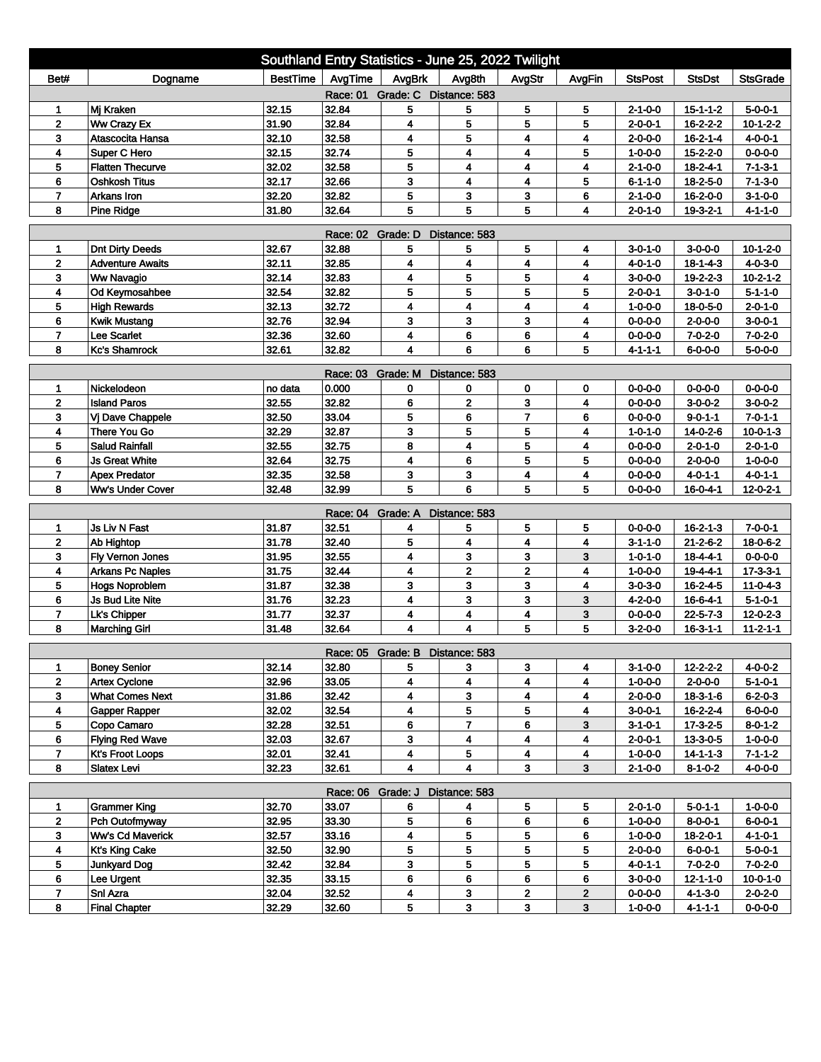|                                              |                                              | Southland Entry Statistics - June 25, 2022 Twilight |                   |                                 |                         |                         |        |                                    |                                    |                              |  |
|----------------------------------------------|----------------------------------------------|-----------------------------------------------------|-------------------|---------------------------------|-------------------------|-------------------------|--------|------------------------------------|------------------------------------|------------------------------|--|
| Bet#                                         | Dogname                                      | BestTime                                            | AvgTime           | AvgBrk                          | Avg8th                  | AvgStr                  | AvgFin | <b>StsPost</b>                     | <b>StsDst</b>                      | <b>StsGrade</b>              |  |
| Race: 01 Grade: C Distance: 583              |                                              |                                                     |                   |                                 |                         |                         |        |                                    |                                    |                              |  |
| 1                                            | Mj Kraken                                    | 32.15                                               | 32.84             | 5                               | 5                       | 5                       | 5      | $2 - 1 - 0 - 0$                    | $15 - 1 - 1 - 2$                   | $5 - 0 - 0 - 1$              |  |
| $\mathbf{2}$                                 | Ww Crazy Ex                                  | 31.90                                               | 32.84             | 4                               | 5                       | 5                       | 5      | $2 - 0 - 0 - 1$                    | 16-2-2-2                           | $10 - 1 - 2 - 2$             |  |
| 3                                            | Atascocita Hansa                             | 32.10                                               | 32.58             | 4                               | 5                       | 4                       | 4      | $2 - 0 - 0 - 0$                    | $16 - 2 - 1 - 4$                   | $4 - 0 - 0 - 1$              |  |
| 4                                            | Super C Hero                                 | 32.15                                               | 32.74             | 5                               | 4                       | 4                       | 5      | $1 - 0 - 0 - 0$                    | $15 - 2 - 2 - 0$                   | $0 - 0 - 0 - 0$              |  |
| 5                                            | <b>Flatten Thecurve</b>                      | 32.02                                               | 32.58             | 5                               | 4                       | 4                       | 4      | $2 - 1 - 0 - 0$                    | $18 - 2 - 4 - 1$                   | $7 - 1 - 3 - 1$              |  |
| 6                                            | <b>Oshkosh Titus</b>                         | 32.17                                               | 32.66             | 3                               | 4                       | $\overline{\mathbf{4}}$ | 5      | $6 - 1 - 1 - 0$                    | 18-2-5-0                           | $7 - 1 - 3 - 0$              |  |
| $\overline{7}$                               | Arkans Iron                                  | 32.20                                               | 32.82             | 5                               | 3                       | 3                       | 6      | $2 - 1 - 0 - 0$                    | 16-2-0-0                           | $3 - 1 - 0 - 0$              |  |
| 8                                            | <b>Pine Ridge</b>                            | 31.80                                               | 32.64             | 5                               | 5                       | 5                       | 4      | $2 - 0 - 1 - 0$                    | 19-3-2-1                           | $4 - 1 - 1 - 0$              |  |
| <b>Race: 02</b><br>Grade: D<br>Distance: 583 |                                              |                                                     |                   |                                 |                         |                         |        |                                    |                                    |                              |  |
| 1                                            | <b>Dnt Dirty Deeds</b>                       | 32.67                                               | 32.88             | 5                               | 5                       | 5                       | 4      | $3 - 0 - 1 - 0$                    | $3 - 0 - 0 - 0$                    | $10 - 1 - 2 - 0$             |  |
| $\overline{2}$                               | <b>Adventure Awaits</b>                      | 32.11                                               | 32.85             | 4                               | 4                       | 4                       | 4      | $4 - 0 - 1 - 0$                    | $18 - 1 - 4 - 3$                   | $4 - 0 - 3 - 0$              |  |
| 3                                            | <b>Ww Navagio</b>                            | 32.14                                               | 32.83             | 4                               | 5                       | 5                       | 4      | $3 - 0 - 0 - 0$                    | 19-2-2-3                           | $10-2-1-2$                   |  |
| 4                                            | Od Keymosahbee                               | 32.54                                               | 32.82             | 5                               | 5                       | 5                       | 5      | $2 - 0 - 0 - 1$                    | $3 - 0 - 1 - 0$                    | $5 - 1 - 1 - 0$              |  |
| 5                                            | <b>High Rewards</b>                          | 32.13                                               | 32.72             | 4                               | 4                       | 4                       | 4      | $1 - 0 - 0 - 0$                    | 18-0-5-0                           | $2 - 0 - 1 - 0$              |  |
| 6                                            | <b>Kwik Mustang</b>                          | 32.76                                               | 32.94             | 3                               | 3                       | 3                       | 4      | $0 - 0 - 0 - 0$                    | $2 - 0 - 0 - 0$                    | $3 - 0 - 0 - 1$              |  |
| $\overline{7}$                               | Lee Scarlet                                  | 32.36                                               | 32.60             | 4                               | 6                       | 6                       | 4      | $0 - 0 - 0 - 0$                    | $7 - 0 - 2 - 0$                    | $7 - 0 - 2 - 0$              |  |
| 8                                            | <b>Kc's Shamrock</b>                         | 32.61                                               | 32.82             | 4                               | 6                       | 6                       | 5      | $4 - 1 - 1 - 1$                    | $6 - 0 - 0 - 0$                    | $5 - 0 - 0 - 0$              |  |
| Race: 03 Grade: M<br>Distance: 583           |                                              |                                                     |                   |                                 |                         |                         |        |                                    |                                    |                              |  |
| 1                                            | Nickelodeon                                  | no data                                             | 0.000             | 0                               | 0                       | 0                       | 0      | $0 - 0 - 0 - 0$                    | $0 - 0 - 0 - 0$                    | $0 - 0 - 0 - 0$              |  |
| $\mathbf 2$                                  | <b>Island Paros</b>                          | 32.55                                               | 32.82             | 6                               | $\mathbf 2$             | 3                       | 4      | $0 - 0 - 0 - 0$                    | $3-0-0-2$                          | $3-0-0-2$                    |  |
| 3                                            | Vj Dave Chappele                             | 32.50                                               | 33.04             | 5                               | 6                       | $\overline{7}$          | 6      | $0 - 0 - 0 - 0$                    | $9 - 0 - 1 - 1$                    | $7 - 0 - 1 - 1$              |  |
| 4                                            | There You Go                                 | 32.29                                               | 32.87             | 3                               | 5                       | 5                       | 4      | $1 - 0 - 1 - 0$                    | 14-0-2-6                           | $10 - 0 - 1 - 3$             |  |
| 5                                            | <b>Salud Rainfall</b>                        | 32.55                                               | 32.75             | 8                               | 4                       | 5                       | 4      | $0 - 0 - 0 - 0$                    | $2 - 0 - 1 - 0$                    | $2 - 0 - 1 - 0$              |  |
| 6                                            | <b>Js Great White</b>                        | 32.64                                               | 32.75             | 4                               | 6                       | 5                       | 5      | $0 - 0 - 0 - 0$                    | $2 - 0 - 0 - 0$                    | $1 - 0 - 0 - 0$              |  |
| $\overline{ }$                               | <b>Apex Predator</b>                         | 32.35                                               | 32.58             | 3                               | 3                       | 4                       | 4      | $0 - 0 - 0 - 0$                    | 4-0-1-1                            | $4 - 0 - 1 - 1$              |  |
| 8                                            | <b>Ww's Under Cover</b>                      | 32.48                                               | 32.99             | 5                               | 6                       | 5                       | 5      | $0 - 0 - 0 - 0$                    | $16 - 0 - 4 - 1$                   | $12 - 0 - 2 - 1$             |  |
|                                              |                                              |                                                     | Race: 04          | Grade: A                        | Distance: 583           |                         |        |                                    |                                    |                              |  |
| 1                                            | <b>Js Liv N Fast</b>                         | 31.87                                               | 32.51             | 4                               | 5                       | 5                       | 5      | $0 - 0 - 0 - 0$                    | $16 - 2 - 1 - 3$                   | $7 - 0 - 0 - 1$              |  |
| $\mathbf{2}$                                 | Ab Hightop                                   | 31.78                                               | 32.40             | 5                               | 4                       | 4                       | 4      | $3 - 1 - 1 - 0$                    | $21 - 2 - 6 - 2$                   | 18-0-6-2                     |  |
| 3                                            | Fly Vernon Jones                             | 31.95                                               | 32.55             | 4                               | 3                       | 3                       | 3      | $1 - 0 - 1 - 0$                    | $18 - 4 - 4 - 1$                   | $0 - 0 - 0 - 0$              |  |
| 4                                            | <b>Arkans Pc Naples</b>                      | 31.75                                               | 32.44             | 4                               | $\overline{\mathbf{2}}$ | 2                       | 4      | $1 - 0 - 0 - 0$                    | 19-4-4-1                           | $17 - 3 - 3 - 1$             |  |
| 5                                            | <b>Hogs Noproblem</b>                        | 31.87                                               | 32.38             | 3                               | 3                       | 3                       | 4      | $3 - 0 - 3 - 0$                    | 16-2-4-5                           | $11 - 0 - 4 - 3$             |  |
| 6                                            | <b>Js Bud Lite Nite</b>                      | 31.76                                               | 32.23             | 4                               | 3                       | 3                       | 3      | 4-2-0-0                            | $16 - 6 - 4 - 1$                   | $5 - 1 - 0 - 1$              |  |
| $\overline{7}$                               | Lk's Chipper                                 | 31.77                                               | 32.37             | 4                               | 4                       | 4                       | 3      | $0 - 0 - 0 - 0$                    | $22 - 5 - 7 - 3$                   | $12 - 0 - 2 - 3$             |  |
| 8                                            | <b>Marching Girl</b>                         | 31.48                                               | 32.64             | 4                               | 4                       | 5                       | 5      | 3-2-0-0                            | $16 - 3 - 1 - 1$                   | $11 - 2 - 1 - 1$             |  |
|                                              |                                              |                                                     |                   |                                 |                         |                         |        |                                    |                                    |                              |  |
|                                              |                                              | 32.14                                               | 32.80             | Race: 05 Grade: B Distance: 583 |                         |                         |        |                                    |                                    | $4 - 0 - 0 - 2$              |  |
| 1<br>$\mathbf{2}$                            | <b>Boney Senior</b><br><b>Artex Cyclone</b>  | 32.96                                               | 33.05             | 5<br>4                          | 3<br>4                  | 3<br>4                  | 4<br>4 | $3 - 1 - 0 - 0$<br>$1 - 0 - 0 - 0$ | 12-2-2-2<br>$2 - 0 - 0 - 0$        | $5 - 1 - 0 - 1$              |  |
| 3                                            | <b>What Comes Next</b>                       | 31.86                                               | 32.42             | 4                               | 3                       | 4                       | 4      | $2 - 0 - 0 - 0$                    | $18 - 3 - 1 - 6$                   | $6 - 2 - 0 - 3$              |  |
| 4                                            | Gapper Rapper                                | 32.02                                               | 32.54             | 4                               | 5                       | 5                       | 4      | $3-0-0-1$                          | $16 - 2 - 2 - 4$                   | $6 - 0 - 0 - 0$              |  |
| 5                                            | Copo Camaro                                  | 32.28                                               | 32.51             | 6                               | 7                       | 6                       | 3      | $3 - 1 - 0 - 1$                    | $17 - 3 - 2 - 5$                   | $8 - 0 - 1 - 2$              |  |
| 6                                            | <b>Flying Red Wave</b>                       | 32.03                                               | 32.67             | 3                               | 4                       | 4                       | 4      | $2 - 0 - 0 - 1$                    | $13 - 3 - 0 - 5$                   | $1 - 0 - 0 - 0$              |  |
| $\overline{7}$                               | <b>Kt's Froot Loops</b>                      | 32.01                                               | 32.41             | 4                               | 5                       | 4                       | 4      | $1 - 0 - 0 - 0$                    | $14 - 1 - 1 - 3$                   | $7 - 1 - 1 - 2$              |  |
| 8                                            | <b>Slatex Levi</b>                           | 32.23                                               | 32.61             | 4                               | $\overline{\mathbf{4}}$ | 3 <sup>1</sup>          | 3      | $2 - 1 - 0 - 0$                    | $8 - 1 - 0 - 2$                    | $4 - 0 - 0 - 0$              |  |
|                                              |                                              |                                                     |                   |                                 |                         |                         |        |                                    |                                    |                              |  |
|                                              |                                              |                                                     | Race: 06 Grade: J |                                 | Distance: 583           |                         |        |                                    |                                    |                              |  |
| 1                                            | <b>Grammer King</b><br>Pch Outofmyway        | 32.70                                               | 33.07             | 6                               | 4                       | 5                       | 5      | $2 - 0 - 1 - 0$                    | $5 - 0 - 1 - 1$                    | $1 - 0 - 0 - 0$              |  |
| $\mathbf 2$                                  |                                              | 32.95                                               | 33.30             | 5                               | 6                       | 6                       | 6      | 1-0-0-0                            | $8 - 0 - 0 - 1$                    | $6 - 0 - 0 - 1$              |  |
| 3<br>$\overline{\mathbf{4}}$                 | <b>Ww's Cd Maverick</b>                      | 32.57                                               | 33.16             | 4<br>5                          | 5                       | 5<br>5                  | 6      | $1 - 0 - 0 - 0$                    | $18 - 2 - 0 - 1$                   | 4-1-0-1                      |  |
| 5                                            | <b>Kt's King Cake</b><br><b>Junkyard Dog</b> | 32.50<br>32.42                                      | 32.90<br>32.84    | 3                               | 5<br>5                  | 5                       | 5<br>5 | $2 - 0 - 0 - 0$<br>$4 - 0 - 1 - 1$ | $6 - 0 - 0 - 1$<br>$7 - 0 - 2 - 0$ | $5 - 0 - 0 - 1$<br>$7-0-2-0$ |  |
| 6                                            | Lee Urgent                                   | 32.35                                               | 33.15             | 6                               | 6                       | 6                       | 6      | $3 - 0 - 0 - 0$                    | $12 - 1 - 1 - 0$                   | $10 - 0 - 1 - 0$             |  |
| 7                                            | Snl Azra                                     | 32.04                                               | 32.52             | 4                               | 3                       | $\overline{\mathbf{2}}$ | 2      | $0 - 0 - 0 - 0$                    | $4 - 1 - 3 - 0$                    | $2 - 0 - 2 - 0$              |  |
| 8                                            | <b>Final Chapter</b>                         | 32.29                                               | 32.60             | 5                               | 3                       | 3                       | 3      | $1 - 0 - 0 - 0$                    | 4-1-1-1                            | $0 - 0 - 0 - 0$              |  |
|                                              |                                              |                                                     |                   |                                 |                         |                         |        |                                    |                                    |                              |  |